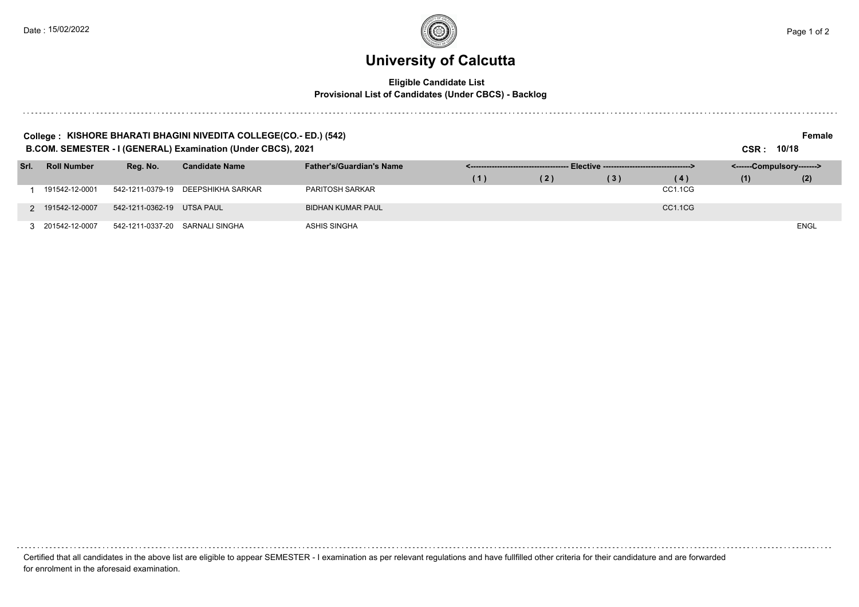### **University of Calcutta**

#### **Eligible Candidate List Provisional List of Candidates (Under CBCS) - Backlog**

| College : KISHORE BHARATI BHAGINI NIVEDITA COLLEGE(CO.-ED.) (542)<br>Female<br>B.COM. SEMESTER - I (GENERAL) Examination (Under CBCS), 2021<br>10/18<br>CSR : |                    |                  |                       |                                 |     |     |                                              |         |     |                           |  |  |
|---------------------------------------------------------------------------------------------------------------------------------------------------------------|--------------------|------------------|-----------------------|---------------------------------|-----|-----|----------------------------------------------|---------|-----|---------------------------|--|--|
| Srl.                                                                                                                                                          | <b>Roll Number</b> | Reg. No.         | <b>Candidate Name</b> | <b>Father's/Guardian's Name</b> |     |     | Elective ----------------------------------> |         |     | <------Compulsory-------> |  |  |
|                                                                                                                                                               |                    |                  |                       |                                 | (1) | (2) | (3)                                          | (4)     | (1) | (2)                       |  |  |
|                                                                                                                                                               | 191542-12-0001     | 542-1211-0379-19 | DEEPSHIKHA SARKAR     | <b>PARITOSH SARKAR</b>          |     |     |                                              | CC1.1CG |     |                           |  |  |
|                                                                                                                                                               | 2 191542-12-0007   | 542-1211-0362-19 | UTSA PAUL             | <b>BIDHAN KUMAR PAUL</b>        |     |     |                                              | CC1.1CG |     |                           |  |  |
|                                                                                                                                                               | 3 201542-12-0007   | 542-1211-0337-20 | SARNALI SINGHA        | <b>ASHIS SINGHA</b>             |     |     |                                              |         |     | <b>ENGL</b>               |  |  |

Certified that all candidates in the above list are eligible to appear SEMESTER - I examination as per relevant regulations and have fullfilled other criteria for their candidature and are forwarded for enrolment in the aforesaid examination.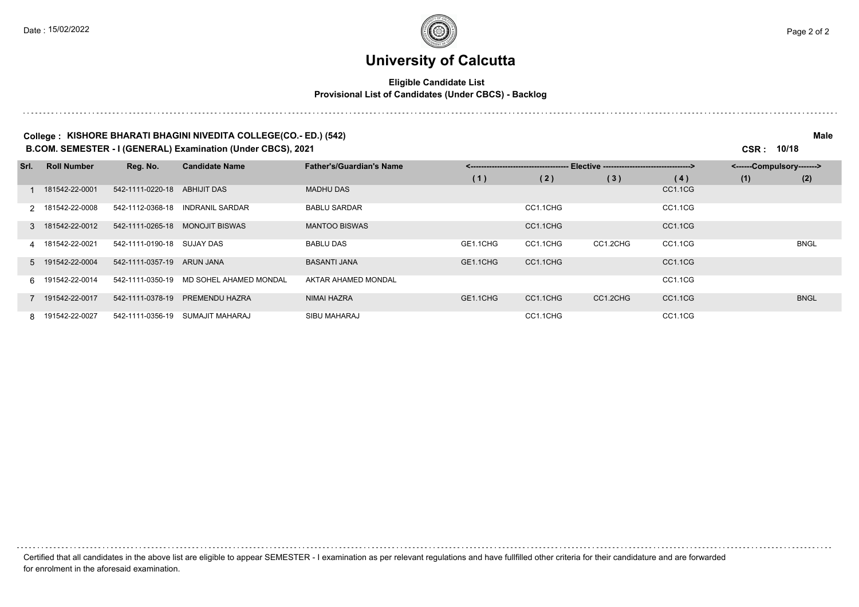### **University of Calcutta**

#### **Eligible Candidate List Provisional List of Candidates (Under CBCS) - Backlog**

#### **College : KISHORE BHARATI BHAGINI NIVEDITA COLLEGE(CO.- ED.) (542) Male B.COM. SEMESTER - I (GENERAL) Examination (Under CBCS), 2021 CSR : 10/18**

| Srl. | <b>Roll Number</b> | Reg. No.         | <b>Candidate Name</b>  | <b>Father's/Guardian's Name</b> |          |          | - Elective ----------------------------------> |         | <------Compulsory-------> |             |
|------|--------------------|------------------|------------------------|---------------------------------|----------|----------|------------------------------------------------|---------|---------------------------|-------------|
|      |                    |                  |                        |                                 | (1)      | (2)      | (3)                                            | (4)     | (1)                       | (2)         |
|      | 181542-22-0001     | 542-1111-0220-18 | ABHIJIT DAS            | <b>MADHU DAS</b>                |          |          |                                                | CC1.1CG |                           |             |
|      | 2 181542-22-0008   | 542-1112-0368-18 | <b>INDRANIL SARDAR</b> | <b>BABLU SARDAR</b>             |          | CC1.1CHG |                                                | CC1.1CG |                           |             |
|      | 3 181542-22-0012   | 542-1111-0265-18 | <b>MONOJIT BISWAS</b>  | <b>MANTOO BISWAS</b>            |          | CC1.1CHG |                                                | CC1.1CG |                           |             |
|      | 4 181542-22-0021   | 542-1111-0190-18 | SUJAY DAS              | <b>BABLU DAS</b>                | GE1.1CHG | CC1.1CHG | CC1.2CHG                                       | CC1.1CG |                           | <b>BNGL</b> |
|      | 5 191542-22-0004   | 542-1111-0357-19 | ARUN JANA              | <b>BASANTI JANA</b>             | GE1.1CHG | CC1.1CHG |                                                | CC1.1CG |                           |             |
|      | 6 191542-22-0014   | 542-1111-0350-19 | MD SOHEL AHAMED MONDAL | AKTAR AHAMED MONDAL             |          |          |                                                | CC1.1CG |                           |             |
|      | 7 191542-22-0017   | 542-1111-0378-19 | PREMENDU HAZRA         | NIMAI HAZRA                     | GE1.1CHG | CC1.1CHG | CC1.2CHG                                       | CC1.1CG |                           | <b>BNGL</b> |
|      | 8 191542-22-0027   | 542-1111-0356-19 | SUMAJIT MAHARAJ        | SIBU MAHARAJ                    |          | CC1.1CHG |                                                | CC1.1CG |                           |             |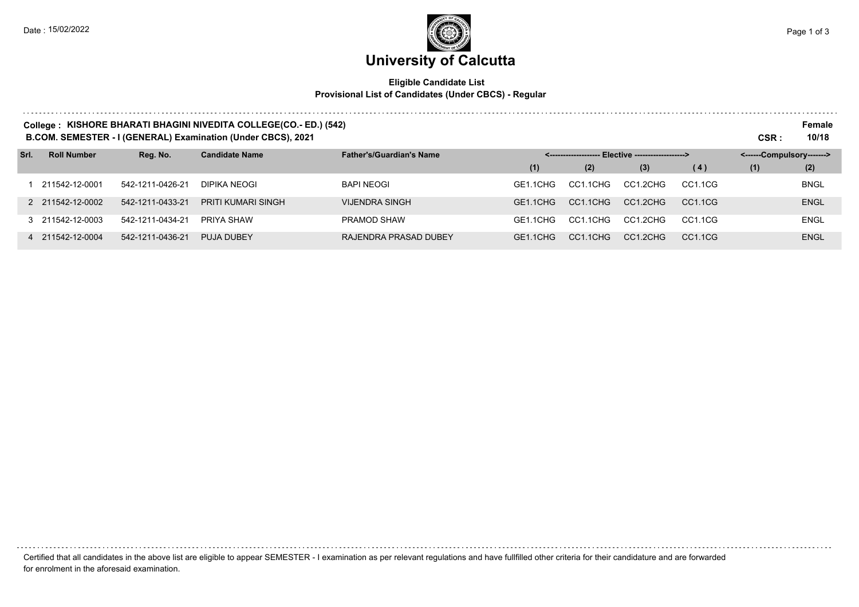. . . . . . . .

# **University of Calcutta**

#### **Eligible Candidate List Provisional List of Candidates (Under CBCS) - Regular**

| College : KISHORE BHARATI BHAGINI NIVEDITA COLLEGE(CO.- ED.) (542) |      | Female |
|--------------------------------------------------------------------|------|--------|
| B.COM. SEMESTER - I (GENERAL) Examination (Under CBCS), 2021       | CSR. | 10/18  |

| Srl. | <b>Roll Number</b> | Reg. No.         | <b>Candidate Name</b> | <b>Father's/Guardian's Name</b> |          |          | <------------------- Elective ------------------> |                                  | <------Compulsory-------> |             |  |
|------|--------------------|------------------|-----------------------|---------------------------------|----------|----------|---------------------------------------------------|----------------------------------|---------------------------|-------------|--|
|      |                    |                  |                       |                                 | (1)      | (2)      | (3)                                               | (4)                              | (1)                       | (2)         |  |
|      | 211542-12-0001     | 542-1211-0426-21 | DIPIKA NEOGI          | <b>BAPI NEOGI</b>               | GE1.1CHG | CC1.1CHG | CC1.2CHG                                          | CC1.1CG                          |                           | <b>BNGL</b> |  |
|      | 2 211542-12-0002   | 542-1211-0433-21 | PRITI KUMARI SINGH    | <b>VIJENDRA SINGH</b>           | GE1.1CHG | CC1.1CHG | CC1.2CHG                                          | CC1.1CG                          |                           | <b>ENGL</b> |  |
|      | 3 211542-12-0003   | 542-1211-0434-21 | PRIYA SHAW            | <b>PRAMOD SHAW</b>              | GE1.1CHG | CC1.1CHG | CC1.2CHG                                          | CC1.1CG                          |                           | ENGL        |  |
|      | 4 211542-12-0004   | 542-1211-0436-21 | <b>PUJA DUBEY</b>     | RAJENDRA PRASAD DUBEY           | GE1.1CHG | CC1.1CHG | CC1.2CHG                                          | CC <sub>1.1</sub> C <sub>G</sub> |                           | <b>ENGL</b> |  |

Certified that all candidates in the above list are eligible to appear SEMESTER - I examination as per relevant regulations and have fullfilled other criteria for their candidature and are forwarded for enrolment in the aforesaid examination.

Date : 15/02/2022  $\blacksquare$  Page 1 of 3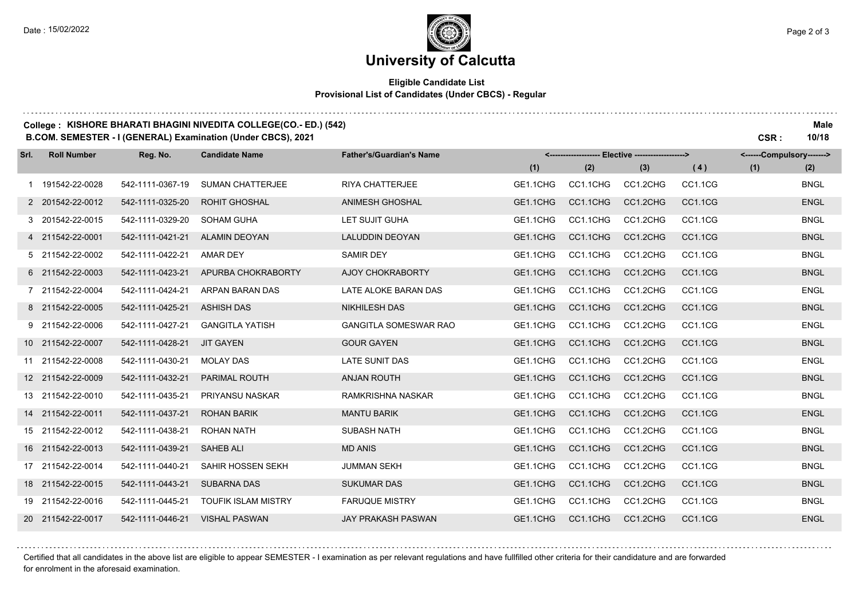#### **Eligible Candidate List Provisional List of Candidates (Under CBCS) - Regular**

#### **College : KISHORE BHARATI BHAGINI NIVEDITA COLLEGE(CO.- ED.) (542) Male B.COM. SEMESTER - I (GENERAL) Examination (Under CBCS), 2021 CSR : 10/18**

**Reg. No. (1) (2) (3) Srl. Roll Number Candidate Name Father's/Guardian's Name <------------------- Elective -------------------> (1) (2) <------Compulsory-------> ( 4 )** 191542-22-0028 542-1111-0367-19 SUMAN CHATTERJEE RIYA CHATTERJEE GE1.1CHG CC1.1CHG CC1.2CHG CC1.1CG BNGL 201542-22-0012 542-1111-0325-20 ROHIT GHOSHAL ANIMESH GHOSHAL GE1.1CHG CC1.1CHG CC1.2CHG CC1.1CG ENGL 201542-22-0015 542-1111-0329-20 SOHAM GUHA LET SUJIT GUHA GE1.1CHG CC1.1CHG CC1.2CHG CC1.1CG BNGL 211542-22-0001 542-1111-0421-21 ALAMIN DEOYAN LALUDDIN DEOYAN GE1.1CHG CC1.1CHG CC1.2CHG CC1.1CG BNGL 211542-22-0002 542-1111-0422-21 AMAR DEY SAMIR DEY GE1.1CHG CC1.1CHG CC1.2CHG CC1.1CG BNGL 211542-22-0003 542-1111-0423-21 APURBA CHOKRABORTY AJOY CHOKRABORTY GE1.1CHG CC1.1CHG CC1.2CHG CC1.1CG BNGL 211542-22-0004 542-1111-0424-21 ARPAN BARAN DAS LATE ALOKE BARAN DAS GE1.1CHG CC1.1CHG CC1.2CHG CC1.1CG ENGL 211542-22-0005 542-1111-0425-21 ASHISH DAS NIKHILESH DAS GE1.1CHG CC1.1CHG CC1.2CHG CC1.1CG BNGL 211542-22-0006 542-1111-0427-21 GANGITLA YATISH GANGITLA SOMESWAR RAO GE1.1CHG CC1.1CHG CC1.2CHG CC1.1CG ENGL 211542-22-0007 542-1111-0428-21 JIT GAYEN GOUR GAYEN GE1.1CHG CC1.1CHG CC1.2CHG CC1.1CG BNGL 211542-22-0008 542-1111-0430-21 MOLAY DAS LATE SUNIT DAS GE1.1CHG CC1.1CHG CC1.2CHG CC1.1CG ENGL 211542-22-0009 542-1111-0432-21 PARIMAL ROUTH ANJAN ROUTH GE1.1CHG CC1.1CHG CC1.2CHG CC1.1CG BNGL 211542-22-0010 542-1111-0435-21 PRIYANSU NASKAR RAMKRISHNA NASKAR GE1.1CHG CC1.1CHG CC1.2CHG CC1.1CG BNGL 211542-22-0011 542-1111-0437-21 ROHAN BARIK MANTU BARIK GE1.1CHG CC1.1CHG CC1.2CHG CC1.1CG ENGL 211542-22-0012 542-1111-0438-21 ROHAN NATH SUBASH NATH GE1.1CHG CC1.1CHG CC1.2CHG CC1.1CG BNGL 211542-22-0013 542-1111-0439-21 SAHEB ALI MD ANIS GE1.1CHG CC1.1CHG CC1.2CHG CC1.1CG BNGL 211542-22-0014 542-1111-0440-21 SAHIR HOSSEN SEKH JUMMAN SEKH GE1.1CHG CC1.1CHG CC1.2CHG CC1.1CG BNGL 211542-22-0015 542-1111-0443-21 SUBARNA DAS SUKUMAR DAS GE1.1CHG CC1.1CHG CC1.2CHG CC1.1CG BNGL 211542-22-0016 542-1111-0445-21 TOUFIK ISLAM MISTRY FARUQUE MISTRY GE1.1CHG CC1.1CHG CC1.2CHG CC1.1CG BNGL 211542-22-0017 542-1111-0446-21 VISHAL PASWAN JAY PRAKASH PASWAN GE1.1CHG CC1.1CHG CC1.2CHG CC1.1CG ENGL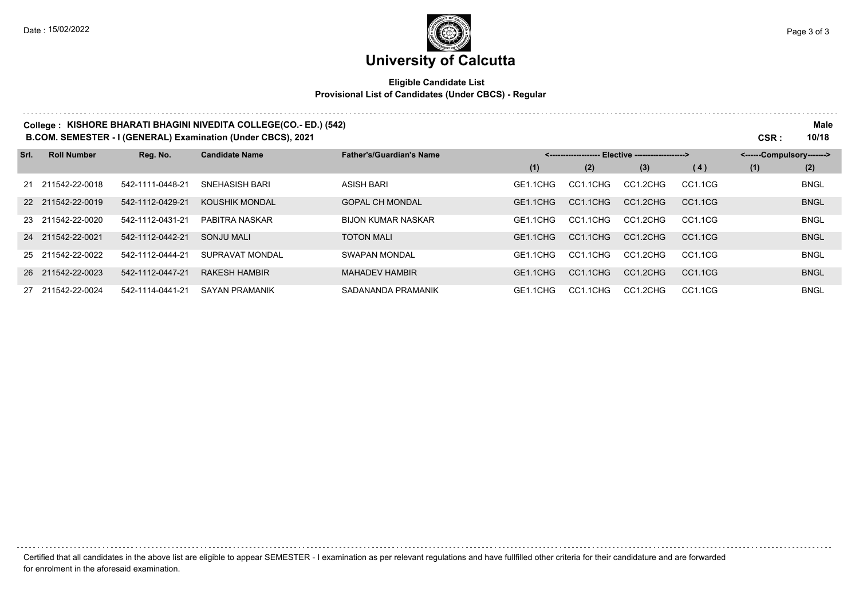## **University of Calcutta**

#### **Eligible Candidate List Provisional List of Candidates (Under CBCS) - Regular**

### **College : KISHORE BHARATI BHAGINI NIVEDITA COLLEGE(CO.- ED.) (542) Male**

**B.COM. SEMESTER - I (GENERAL) Examination (Under CBCS), 2021 CSR : 10/18**

| Srl. | <b>Roll Number</b> | Reg. No.         | <b>Candidate Name</b> | <b>Father's/Guardian's Name</b> | <-------------------- Elective -------------------> |          |          |         | <------Compulsory-------> |             |
|------|--------------------|------------------|-----------------------|---------------------------------|-----------------------------------------------------|----------|----------|---------|---------------------------|-------------|
|      |                    |                  |                       |                                 | (1)                                                 | (2)      | (3)      | (4)     | (1)                       | (2)         |
|      | 21 211542-22-0018  | 542-1111-0448-21 | <b>SNEHASISH BARI</b> | <b>ASISH BARI</b>               | GE1.1CHG                                            | CC1.1CHG | CC1.2CHG | CC1.1CG |                           | <b>BNGL</b> |
|      | 22 211542-22-0019  | 542-1112-0429-21 | <b>KOUSHIK MONDAL</b> | <b>GOPAL CH MONDAL</b>          | GE1.1CHG                                            | CC1.1CHG | CC1.2CHG | CC1.1CG |                           | <b>BNGL</b> |
|      | 23 211542-22-0020  | 542-1112-0431-21 | PABITRA NASKAR        | <b>BIJON KUMAR NASKAR</b>       | GE1.1CHG                                            | CC1.1CHG | CC1.2CHG | CC1.1CG |                           | <b>BNGL</b> |
|      | 24 211542-22-0021  | 542-1112-0442-21 | SONJU MALI            | <b>TOTON MALI</b>               | GE1.1CHG                                            | CC1.1CHG | CC1.2CHG | CC1.1CG |                           | <b>BNGL</b> |
|      | 25 211542-22-0022  | 542-1112-0444-21 | SUPRAVAT MONDAL       | <b>SWAPAN MONDAL</b>            | GE1.1CHG                                            | CC1.1CHG | CC1.2CHG | CC1.1CG |                           | <b>BNGL</b> |
|      | 26 211542-22-0023  | 542-1112-0447-21 | <b>RAKESH HAMBIR</b>  | <b>MAHADEV HAMBIR</b>           | GE1.1CHG                                            | CC1.1CHG | CC1.2CHG | CC1.1CG |                           | <b>BNGL</b> |
|      | 27 211542-22-0024  | 542-1114-0441-21 | <b>SAYAN PRAMANIK</b> | SADANANDA PRAMANIK              | GE1.1CHG                                            | CC1.1CHG | CC1.2CHG | CC1.1CG |                           | <b>BNGL</b> |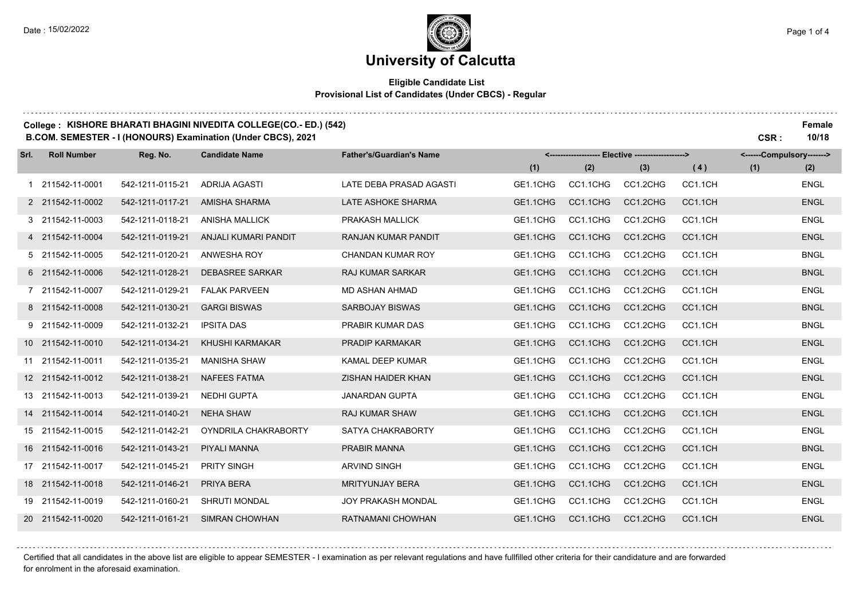#### **Eligible Candidate List Provisional List of Candidates (Under CBCS) - Regular**

### **College : KISHORE BHARATI BHAGINI NIVEDITA COLLEGE(CO.- ED.) (542) Female**

**B.COM. SEMESTER - I (HONOURS) Examination (Under CBCS), 2021 CSR : 10/18**

| Srl. | <b>Roll Number</b> | Reg. No.         | <b>Candidate Name</b>  | <b>Father's/Guardian's Name</b> | <-------------------- Elective -------------------> |          |          |         | <------Compulsory-------> |             |
|------|--------------------|------------------|------------------------|---------------------------------|-----------------------------------------------------|----------|----------|---------|---------------------------|-------------|
|      |                    |                  |                        |                                 | (1)                                                 | (2)      | (3)      | (4)     | (1)                       | (2)         |
|      | 1 211542-11-0001   | 542-1211-0115-21 | ADRIJA AGASTI          | LATE DEBA PRASAD AGASTI         | GE1.1CHG                                            | CC1.1CHG | CC1.2CHG | CC1.1CH |                           | <b>ENGL</b> |
|      | 2 211542-11-0002   | 542-1211-0117-21 | <b>AMISHA SHARMA</b>   | LATE ASHOKE SHARMA              | GE1.1CHG                                            | CC1.1CHG | CC1.2CHG | CC1.1CH |                           | <b>ENGL</b> |
|      | 3 211542-11-0003   | 542-1211-0118-21 | <b>ANISHA MALLICK</b>  | <b>PRAKASH MALLICK</b>          | GE1.1CHG                                            | CC1.1CHG | CC1.2CHG | CC1.1CH |                           | <b>ENGL</b> |
|      | 4 211542-11-0004   | 542-1211-0119-21 | ANJALI KUMARI PANDIT   | RANJAN KUMAR PANDIT             | GE1.1CHG                                            | CC1.1CHG | CC1.2CHG | CC1.1CH |                           | <b>ENGL</b> |
|      | 5 211542-11-0005   | 542-1211-0120-21 | ANWESHA ROY            | <b>CHANDAN KUMAR ROY</b>        | GE1.1CHG                                            | CC1.1CHG | CC1.2CHG | CC1.1CH |                           | <b>BNGL</b> |
|      | 6 211542-11-0006   | 542-1211-0128-21 | <b>DEBASREE SARKAR</b> | <b>RAJ KUMAR SARKAR</b>         | GE1.1CHG                                            | CC1.1CHG | CC1.2CHG | CC1.1CH |                           | <b>BNGL</b> |
|      | 7 211542-11-0007   | 542-1211-0129-21 | <b>FALAK PARVEEN</b>   | <b>MD ASHAN AHMAD</b>           | GE1.1CHG                                            | CC1.1CHG | CC1.2CHG | CC1.1CH |                           | <b>ENGL</b> |
|      | 8 211542-11-0008   | 542-1211-0130-21 | <b>GARGI BISWAS</b>    | <b>SARBOJAY BISWAS</b>          | GE1.1CHG                                            | CC1.1CHG | CC1.2CHG | CC1.1CH |                           | <b>BNGL</b> |
|      | 9 211542-11-0009   | 542-1211-0132-21 | <b>IPSITA DAS</b>      | PRABIR KUMAR DAS                | GE1.1CHG                                            | CC1.1CHG | CC1.2CHG | CC1.1CH |                           | <b>BNGL</b> |
|      | 10 211542-11-0010  | 542-1211-0134-21 | KHUSHI KARMAKAR        | <b>PRADIP KARMAKAR</b>          | GE1.1CHG                                            | CC1.1CHG | CC1.2CHG | CC1.1CH |                           | <b>ENGL</b> |
|      | 11 211542-11-0011  | 542-1211-0135-21 | <b>MANISHA SHAW</b>    | <b>KAMAL DEEP KUMAR</b>         | GE1.1CHG                                            | CC1.1CHG | CC1.2CHG | CC1.1CH |                           | <b>ENGL</b> |
|      | 12 211542-11-0012  | 542-1211-0138-21 | <b>NAFEES FATMA</b>    | ZISHAN HAIDER KHAN              | GE1.1CHG                                            | CC1.1CHG | CC1.2CHG | CC1.1CH |                           | <b>ENGL</b> |
|      | 13 211542-11-0013  | 542-1211-0139-21 | <b>NEDHI GUPTA</b>     | <b>JANARDAN GUPTA</b>           | GE1.1CHG                                            | CC1.1CHG | CC1.2CHG | CC1.1CH |                           | <b>ENGL</b> |
|      | 14 211542-11-0014  | 542-1211-0140-21 | <b>NEHA SHAW</b>       | <b>RAJ KUMAR SHAW</b>           | GE1.1CHG                                            | CC1.1CHG | CC1.2CHG | CC1.1CH |                           | <b>ENGL</b> |
|      | 15 211542-11-0015  | 542-1211-0142-21 | OYNDRILA CHAKRABORTY   | SATYA CHAKRABORTY               | GE1.1CHG                                            | CC1.1CHG | CC1.2CHG | CC1.1CH |                           | <b>ENGL</b> |
|      | 16 211542-11-0016  | 542-1211-0143-21 | PIYALI MANNA           | PRABIR MANNA                    | GE1.1CHG                                            | CC1.1CHG | CC1.2CHG | CC1.1CH |                           | <b>BNGL</b> |
|      | 17 211542-11-0017  | 542-1211-0145-21 | <b>PRITY SINGH</b>     | <b>ARVIND SINGH</b>             | GE1.1CHG                                            | CC1.1CHG | CC1.2CHG | CC1.1CH |                           | <b>ENGL</b> |
|      | 18 211542-11-0018  | 542-1211-0146-21 | PRIYA BERA             | <b>MRITYUNJAY BERA</b>          | GE1.1CHG                                            | CC1.1CHG | CC1.2CHG | CC1.1CH |                           | <b>ENGL</b> |
|      | 19 211542-11-0019  | 542-1211-0160-21 | <b>SHRUTI MONDAL</b>   | JOY PRAKASH MONDAL              | GE1.1CHG                                            | CC1.1CHG | CC1.2CHG | CC1.1CH |                           | <b>ENGL</b> |
|      | 20 211542-11-0020  | 542-1211-0161-21 | <b>SIMRAN CHOWHAN</b>  | RATNAMANI CHOWHAN               | GE1.1CHG                                            | CC1.1CHG | CC1.2CHG | CC1.1CH |                           | <b>ENGL</b> |

Certified that all candidates in the above list are eligible to appear SEMESTER - I examination as per relevant regulations and have fullfilled other criteria for their candidature and are forwarded for enrolment in the aforesaid examination.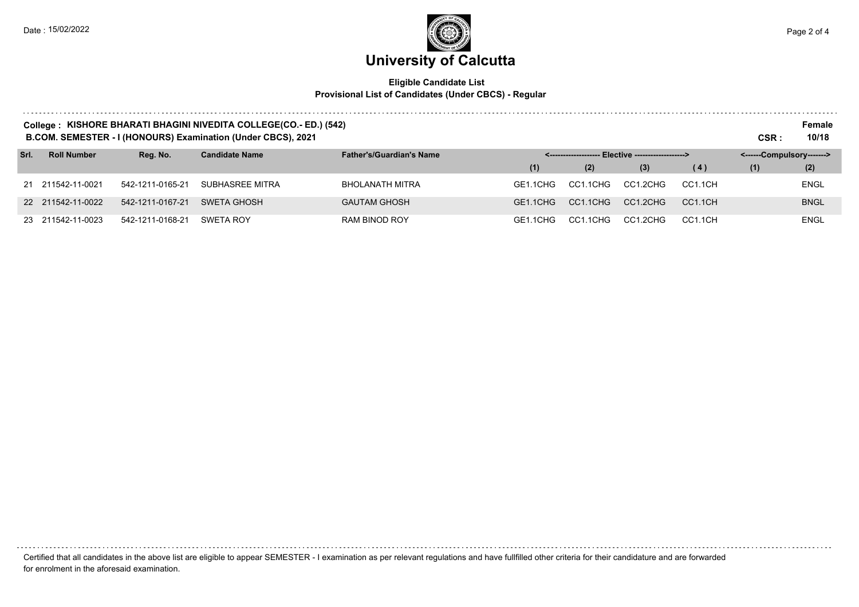#### **Eligible Candidate List Provisional List of Candidates (Under CBCS) - Regular**

| College : KISHORE BHARATI BHAGINI NIVEDITA COLLEGE(CO.-ED.) (542)<br>B.COM. SEMESTER - I (HONOURS) Examination (Under CBCS), 2021<br><-------------------- Elective ------------------> |                    |                  |                       |                                 |          |          |          |                      |                           |             |  |
|-----------------------------------------------------------------------------------------------------------------------------------------------------------------------------------------|--------------------|------------------|-----------------------|---------------------------------|----------|----------|----------|----------------------|---------------------------|-------------|--|
| Srl.                                                                                                                                                                                    | <b>Roll Number</b> | Reg. No.         | <b>Candidate Name</b> | <b>Father's/Guardian's Name</b> |          |          |          |                      | <------Compulsory-------> |             |  |
|                                                                                                                                                                                         |                    |                  |                       |                                 | (1)      | (2)      | (3)      | (4)                  | (1)                       | (2)         |  |
|                                                                                                                                                                                         | 21 211542-11-0021  | 542-1211-0165-21 | SUBHASREE MITRA       | <b>BHOLANATH MITRA</b>          | GF1 1CHG | CC1.1CHG | CC1.2CHG | CC1.1CH              |                           | <b>ENGL</b> |  |
|                                                                                                                                                                                         | 22 211542-11-0022  | 542-1211-0167-21 | <b>SWETA GHOSH</b>    | <b>GAUTAM GHOSH</b>             | GE1.1CHG | CC1.1CHG | CC1.2CHG | CC <sub>1.1</sub> CH |                           | <b>BNGL</b> |  |
|                                                                                                                                                                                         | 23 211542-11-0023  | 542-1211-0168-21 | SWETA ROY             | <b>RAM BINOD ROY</b>            | GE1.1CHG | CC1.1CHG | CC1.2CHG | CC1.1CH              |                           | <b>ENGL</b> |  |

Certified that all candidates in the above list are eligible to appear SEMESTER - I examination as per relevant regulations and have fullfilled other criteria for their candidature and are forwarded for enrolment in the aforesaid examination.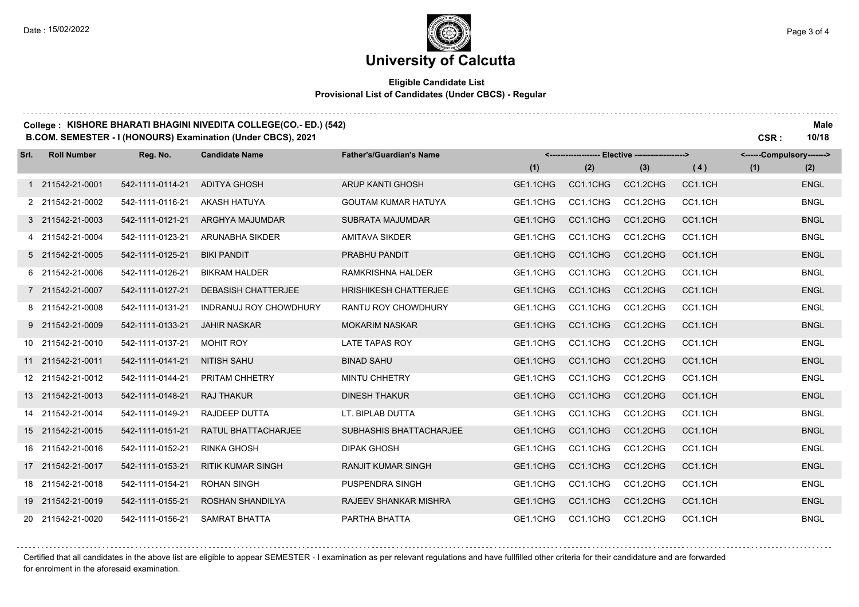. . . . . . .

## **University of Calcutta**

#### **Eligible Candidate List Provisional List of Candidates (Under CBCS) - Regular**

### **College : KISHORE BHARATI BHAGINI NIVEDITA COLLEGE(CO.- ED.) (542) Male**

**B.COM. SEMESTER - I (HONOURS) Examination (Under CBCS), 2021 CSR : 10/18**

| Srl. | <b>Roll Number</b> | Reg. No.         | <b>Candidate Name</b>         | <b>Father's/Guardian's Name</b> | <------------------- Elective ------------------> |          |          |         | <------Compulsory-------> |             |
|------|--------------------|------------------|-------------------------------|---------------------------------|---------------------------------------------------|----------|----------|---------|---------------------------|-------------|
|      |                    |                  |                               |                                 | (1)                                               | (2)      | (3)      | (4)     | (1)                       | (2)         |
|      | 1 211542-21-0001   | 542-1111-0114-21 | <b>ADITYA GHOSH</b>           | ARUP KANTI GHOSH                | GE1.1CHG                                          | CC1.1CHG | CC1.2CHG | CC1.1CH |                           | <b>ENGL</b> |
|      | 2 211542-21-0002   | 542-1111-0116-21 | AKASH HATUYA                  | <b>GOUTAM KUMAR HATUYA</b>      | GE1.1CHG                                          | CC1.1CHG | CC1.2CHG | CC1.1CH |                           | <b>BNGL</b> |
|      | 3 211542-21-0003   | 542-1111-0121-21 | ARGHYA MAJUMDAR               | <b>SUBRATA MAJUMDAR</b>         | GE1.1CHG                                          | CC1.1CHG | CC1.2CHG | CC1.1CH |                           | <b>BNGL</b> |
|      | 4 211542-21-0004   | 542-1111-0123-21 | ARUNABHA SIKDER               | <b>AMITAVA SIKDER</b>           | GE1.1CHG                                          | CC1.1CHG | CC1.2CHG | CC1.1CH |                           | <b>BNGL</b> |
|      | 5 211542-21-0005   | 542-1111-0125-21 | <b>BIKI PANDIT</b>            | PRABHU PANDIT                   | GE1.1CHG                                          | CC1.1CHG | CC1.2CHG | CC1.1CH |                           | <b>ENGL</b> |
|      | 6 211542-21-0006   | 542-1111-0126-21 | <b>BIKRAM HALDER</b>          | <b>RAMKRISHNA HALDER</b>        | GE1.1CHG                                          | CC1.1CHG | CC1.2CHG | CC1.1CH |                           | <b>BNGL</b> |
|      | 7 211542-21-0007   | 542-1111-0127-21 | <b>DEBASISH CHATTERJEE</b>    | <b>HRISHIKESH CHATTERJEE</b>    | GE1.1CHG                                          | CC1.1CHG | CC1.2CHG | CC1.1CH |                           | <b>ENGL</b> |
|      | 8 211542-21-0008   | 542-1111-0131-21 | <b>INDRANUJ ROY CHOWDHURY</b> | <b>RANTU ROY CHOWDHURY</b>      | GE1.1CHG                                          | CC1.1CHG | CC1.2CHG | CC1.1CH |                           | <b>ENGL</b> |
|      | 9 211542-21-0009   | 542-1111-0133-21 | <b>JAHIR NASKAR</b>           | <b>MOKARIM NASKAR</b>           | GE1.1CHG                                          | CC1.1CHG | CC1.2CHG | CC1.1CH |                           | <b>BNGL</b> |
|      | 10 211542-21-0010  | 542-1111-0137-21 | <b>MOHIT ROY</b>              | LATE TAPAS ROY                  | GE1.1CHG                                          | CC1.1CHG | CC1.2CHG | CC1.1CH |                           | <b>ENGL</b> |
|      | 11 211542-21-0011  | 542-1111-0141-21 | <b>NITISH SAHU</b>            | <b>BINAD SAHU</b>               | GE1.1CHG                                          | CC1.1CHG | CC1.2CHG | CC1.1CH |                           | <b>ENGL</b> |
|      | 12 211542-21-0012  | 542-1111-0144-21 | PRITAM CHHETRY                | <b>MINTU CHHETRY</b>            | GE1.1CHG                                          | CC1.1CHG | CC1.2CHG | CC1.1CH |                           | ENGL        |
|      | 13 211542-21-0013  | 542-1111-0148-21 | <b>RAJ THAKUR</b>             | <b>DINESH THAKUR</b>            | GE1.1CHG                                          | CC1.1CHG | CC1.2CHG | CC1.1CH |                           | <b>ENGL</b> |
|      | 14 211542-21-0014  | 542-1111-0149-21 | <b>RAJDEEP DUTTA</b>          | LT. BIPLAB DUTTA                | GE1.1CHG                                          | CC1.1CHG | CC1.2CHG | CC1.1CH |                           | <b>BNGL</b> |
|      | 15 211542-21-0015  | 542-1111-0151-21 | RATUL BHATTACHARJEE           | SUBHASHIS BHATTACHARJEE         | GE1.1CHG                                          | CC1.1CHG | CC1.2CHG | CC1.1CH |                           | <b>BNGL</b> |
|      | 16 211542-21-0016  | 542-1111-0152-21 | <b>RINKA GHOSH</b>            | <b>DIPAK GHOSH</b>              | GE1.1CHG                                          | CC1.1CHG | CC1.2CHG | CC1.1CH |                           | <b>ENGL</b> |
|      | 17 211542-21-0017  | 542-1111-0153-21 | <b>RITIK KUMAR SINGH</b>      | <b>RANJIT KUMAR SINGH</b>       | GE1.1CHG                                          | CC1.1CHG | CC1.2CHG | CC1.1CH |                           | <b>ENGL</b> |
|      | 18 211542-21-0018  | 542-1111-0154-21 | <b>ROHAN SINGH</b>            | PUSPENDRA SINGH                 | GE1.1CHG                                          | CC1.1CHG | CC1.2CHG | CC1.1CH |                           | <b>ENGL</b> |
|      | 19 211542-21-0019  | 542-1111-0155-21 | ROSHAN SHANDILYA              | RAJEEV SHANKAR MISHRA           | GE1.1CHG                                          | CC1.1CHG | CC1.2CHG | CC1.1CH |                           | <b>ENGL</b> |
|      | 20 211542-21-0020  | 542-1111-0156-21 | <b>SAMRAT BHATTA</b>          | PARTHA BHATTA                   | GE1.1CHG                                          | CC1.1CHG | CC1.2CHG | CC1.1CH |                           | <b>BNGL</b> |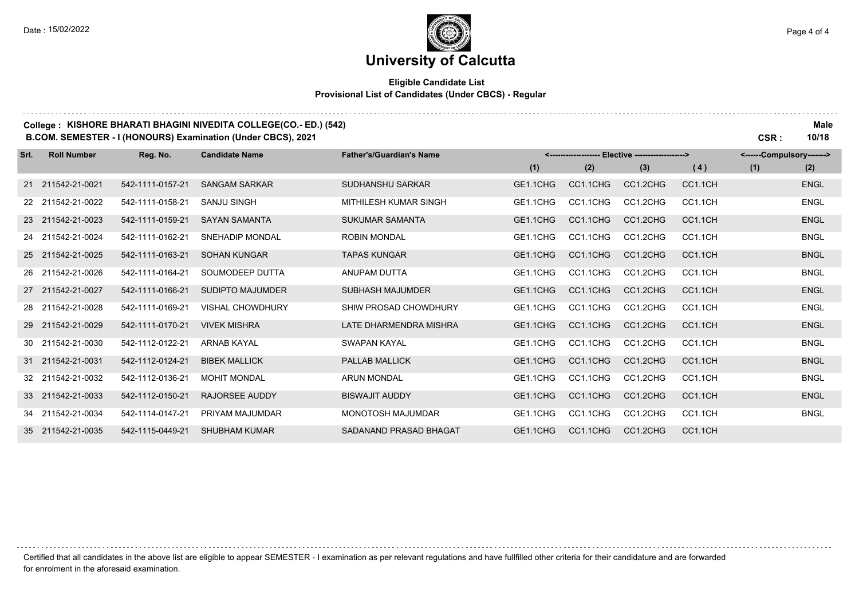. . . . . .

## **University of Calcutta**

#### **Eligible Candidate List Provisional List of Candidates (Under CBCS) - Regular**

### **College : KISHORE BHARATI BHAGINI NIVEDITA COLLEGE(CO.- ED.) (542) Male**

**B.COM. SEMESTER - I (HONOURS) Examination (Under CBCS), 2021 CSR : 10/18**

| Srl. | <b>Roll Number</b> | Reg. No.         | <b>Candidate Name</b>   | <b>Father's/Guardian's Name</b> | <------------------- Elective ------------------> |          |          |         | <------Compulsory-------> |             |  |
|------|--------------------|------------------|-------------------------|---------------------------------|---------------------------------------------------|----------|----------|---------|---------------------------|-------------|--|
|      |                    |                  |                         |                                 | (1)                                               | (2)      | (3)      | (4)     | (1)                       | (2)         |  |
|      | 21 211542-21-0021  | 542-1111-0157-21 | <b>SANGAM SARKAR</b>    | <b>SUDHANSHU SARKAR</b>         | GE1.1CHG                                          | CC1.1CHG | CC1.2CHG | CC1.1CH |                           | <b>ENGL</b> |  |
|      | 22 211542-21-0022  | 542-1111-0158-21 | <b>SANJU SINGH</b>      | MITHILESH KUMAR SINGH           | GE1.1CHG                                          | CC1.1CHG | CC1.2CHG | CC1.1CH |                           | <b>ENGL</b> |  |
|      | 23 211542-21-0023  | 542-1111-0159-21 | <b>SAYAN SAMANTA</b>    | SUKUMAR SAMANTA                 | GE1.1CHG                                          | CC1.1CHG | CC1.2CHG | CC1.1CH |                           | <b>ENGL</b> |  |
|      | 24 211542-21-0024  | 542-1111-0162-21 | <b>SNEHADIP MONDAL</b>  | <b>ROBIN MONDAL</b>             | GE1.1CHG                                          | CC1.1CHG | CC1.2CHG | CC1.1CH |                           | <b>BNGL</b> |  |
|      | 25 211542-21-0025  | 542-1111-0163-21 | <b>SOHAN KUNGAR</b>     | <b>TAPAS KUNGAR</b>             | GE1.1CHG                                          | CC1.1CHG | CC1.2CHG | CC1.1CH |                           | <b>BNGL</b> |  |
|      | 26 211542-21-0026  | 542-1111-0164-21 | SOUMODEEP DUTTA         | ANUPAM DUTTA                    | GE1.1CHG                                          | CC1.1CHG | CC1.2CHG | CC1.1CH |                           | <b>BNGL</b> |  |
|      | 27 211542-21-0027  | 542-1111-0166-21 | <b>SUDIPTO MAJUMDER</b> | <b>SUBHASH MAJUMDER</b>         | GE1.1CHG                                          | CC1.1CHG | CC1.2CHG | CC1.1CH |                           | <b>ENGL</b> |  |
|      | 28 211542-21-0028  | 542-1111-0169-21 | <b>VISHAL CHOWDHURY</b> | SHIW PROSAD CHOWDHURY           | GE1.1CHG                                          | CC1.1CHG | CC1.2CHG | CC1.1CH |                           | <b>ENGL</b> |  |
|      | 29 211542-21-0029  | 542-1111-0170-21 | <b>VIVEK MISHRA</b>     | LATE DHARMENDRA MISHRA          | GE1.1CHG                                          | CC1.1CHG | CC1.2CHG | CC1.1CH |                           | <b>ENGL</b> |  |
|      | 30 211542-21-0030  | 542-1112-0122-21 | <b>ARNAB KAYAL</b>      | <b>SWAPAN KAYAL</b>             | GE1.1CHG                                          | CC1.1CHG | CC1.2CHG | CC1.1CH |                           | <b>BNGL</b> |  |
|      | 31 211542-21-0031  | 542-1112-0124-21 | <b>BIBEK MALLICK</b>    | PALLAB MALLICK                  | GE1.1CHG                                          | CC1.1CHG | CC1.2CHG | CC1.1CH |                           | <b>BNGL</b> |  |
|      | 32 211542-21-0032  | 542-1112-0136-21 | <b>MOHIT MONDAL</b>     | <b>ARUN MONDAL</b>              | GE1.1CHG                                          | CC1.1CHG | CC1.2CHG | CC1.1CH |                           | <b>BNGL</b> |  |
|      | 33 211542-21-0033  | 542-1112-0150-21 | <b>RAJORSEE AUDDY</b>   | <b>BISWAJIT AUDDY</b>           | GE1.1CHG                                          | CC1.1CHG | CC1.2CHG | CC1.1CH |                           | <b>ENGL</b> |  |
|      | 34 211542-21-0034  | 542-1114-0147-21 | PRIYAM MAJUMDAR         | <b>MONOTOSH MAJUMDAR</b>        | GE1.1CHG                                          | CC1.1CHG | CC1.2CHG | CC1.1CH |                           | <b>BNGL</b> |  |
|      | 35 211542-21-0035  | 542-1115-0449-21 | <b>SHUBHAM KUMAR</b>    | SADANAND PRASAD BHAGAT          | GE1.1CHG                                          | CC1.1CHG | CC1.2CHG | CC1.1CH |                           |             |  |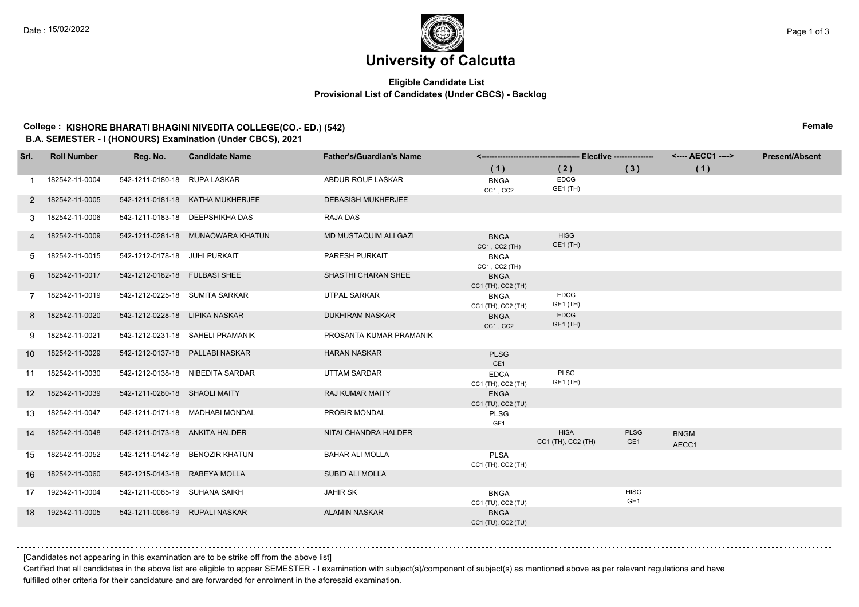#### **Eligible Candidate List Provisional List of Candidates (Under CBCS) - Backlog**

#### **College : KISHORE BHARATI BHAGINI NIVEDITA COLLEGE(CO.- ED.) (542) Female B.A. SEMESTER - I (HONOURS) Examination (Under CBCS), 2021**

| Srl.              | <b>Roll Number</b> | Reg. No.                       | <b>Candidate Name</b>             | <b>Father's/Guardian's Name</b> |                                   |                                   |                                | <---- AECC1 ---->    | <b>Present/Absent</b> |
|-------------------|--------------------|--------------------------------|-----------------------------------|---------------------------------|-----------------------------------|-----------------------------------|--------------------------------|----------------------|-----------------------|
|                   |                    |                                |                                   |                                 | (1)                               | (2)                               | (3)                            | (1)                  |                       |
|                   | 182542-11-0004     | 542-1211-0180-18 RUPA LASKAR   |                                   | ABDUR ROUF LASKAR               | <b>BNGA</b><br>CC1, CC2           | <b>EDCG</b><br>GE1 (TH)           |                                |                      |                       |
| 2                 | 182542-11-0005     |                                | 542-1211-0181-18 KATHA MUKHERJEE  | <b>DEBASISH MUKHERJEE</b>       |                                   |                                   |                                |                      |                       |
|                   | 182542-11-0006     |                                | 542-1211-0183-18 DEEPSHIKHA DAS   | RAJA DAS                        |                                   |                                   |                                |                      |                       |
|                   | 182542-11-0009     |                                | 542-1211-0281-18 MUNAOWARA KHATUN | MD MUSTAQUIM ALI GAZI           | <b>BNGA</b><br>CC1, CC2 (TH)      | <b>HISG</b><br>GE1 (TH)           |                                |                      |                       |
| 5                 | 182542-11-0015     | 542-1212-0178-18 JUHI PURKAIT  |                                   | PARESH PURKAIT                  | <b>BNGA</b><br>CC1, CC2 (TH)      |                                   |                                |                      |                       |
| 6                 | 182542-11-0017     | 542-1212-0182-18 FULBASI SHEE  |                                   | SHASTHI CHARAN SHEE             | <b>BNGA</b><br>CC1 (TH), CC2 (TH) |                                   |                                |                      |                       |
|                   | 182542-11-0019     | 542-1212-0225-18 SUMITA SARKAR |                                   | <b>UTPAL SARKAR</b>             | <b>BNGA</b><br>CC1 (TH), CC2 (TH) | <b>EDCG</b><br><b>GE1 (TH)</b>    |                                |                      |                       |
| 8                 | 182542-11-0020     | 542-1212-0228-18 LIPIKA NASKAR |                                   | <b>DUKHIRAM NASKAR</b>          | <b>BNGA</b><br>CC1, CC2           | <b>EDCG</b><br>GE1 (TH)           |                                |                      |                       |
| 9                 | 182542-11-0021     |                                | 542-1212-0231-18 SAHELI PRAMANIK  | PROSANTA KUMAR PRAMANIK         |                                   |                                   |                                |                      |                       |
| 10                | 182542-11-0029     |                                | 542-1212-0137-18 PALLABI NASKAR   | <b>HARAN NASKAR</b>             | <b>PLSG</b><br>GE1                |                                   |                                |                      |                       |
| 11                | 182542-11-0030     |                                | 542-1212-0138-18 NIBEDITA SARDAR  | UTTAM SARDAR                    | <b>EDCA</b><br>CC1 (TH), CC2 (TH) | PLSG<br>GE1 (TH)                  |                                |                      |                       |
| $12 \overline{ }$ | 182542-11-0039     | 542-1211-0280-18 SHAOLI MAITY  |                                   | <b>RAJ KUMAR MAITY</b>          | <b>ENGA</b><br>CC1 (TU), CC2 (TU) |                                   |                                |                      |                       |
| 13                | 182542-11-0047     |                                | 542-1211-0171-18 MADHABI MONDAL   | PROBIR MONDAL                   | <b>PLSG</b><br>GE1                |                                   |                                |                      |                       |
| 14                | 182542-11-0048     | 542-1211-0173-18 ANKITA HALDER |                                   | NITAI CHANDRA HALDER            |                                   | <b>HISA</b><br>CC1 (TH), CC2 (TH) | <b>PLSG</b><br>GE <sub>1</sub> | <b>BNGM</b><br>AECC1 |                       |
| 15                | 182542-11-0052     |                                | 542-1211-0142-18 BENOZIR KHATUN   | <b>BAHAR ALI MOLLA</b>          | <b>PLSA</b><br>CC1 (TH), CC2 (TH) |                                   |                                |                      |                       |
| 16                | 182542-11-0060     | 542-1215-0143-18 RABEYA MOLLA  |                                   | <b>SUBID ALI MOLLA</b>          |                                   |                                   |                                |                      |                       |
| 17                | 192542-11-0004     | 542-1211-0065-19 SUHANA SAIKH  |                                   | <b>JAHIR SK</b>                 | <b>BNGA</b><br>CC1 (TU), CC2 (TU) |                                   | <b>HISG</b><br>GE1             |                      |                       |
| 18                | 192542-11-0005     | 542-1211-0066-19 RUPALI NASKAR |                                   | <b>ALAMIN NASKAR</b>            | <b>BNGA</b><br>CC1 (TU), CC2 (TU) |                                   |                                |                      |                       |

[Candidates not appearing in this examination are to be strike off from the above list]

Certified that all candidates in the above list are eligible to appear SEMESTER - I examination with subject(s)/component of subject(s) as mentioned above as per relevant regulations and have fulfilled other criteria for their candidature and are forwarded for enrolment in the aforesaid examination.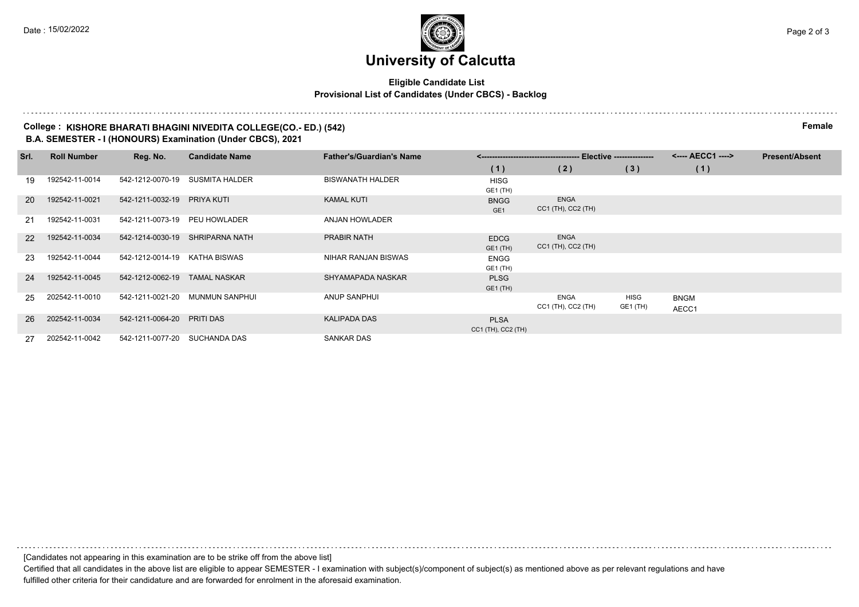#### **Eligible Candidate List Provisional List of Candidates (Under CBCS) - Backlog**

**College : KISHORE BHARATI BHAGINI NIVEDITA COLLEGE(CO.- ED.) (542) Female B.A. SEMESTER - I (HONOURS) Examination (Under CBCS), 2021**

| Srl.      | <b>Roll Number</b> | Reg. No.         | <b>Candidate Name</b> | <b>Father's/Guardian's Name</b> |                                   |                                   | --- Elective --------------- | <---- AECC1 ---->    | <b>Present/Absent</b> |
|-----------|--------------------|------------------|-----------------------|---------------------------------|-----------------------------------|-----------------------------------|------------------------------|----------------------|-----------------------|
|           |                    |                  |                       |                                 | (1)                               | (2)                               | (3)                          | (1)                  |                       |
| 19        | 192542-11-0014     | 542-1212-0070-19 | SUSMITA HALDER        | <b>BISWANATH HALDER</b>         | <b>HISG</b><br>GE1 (TH)           |                                   |                              |                      |                       |
| <b>20</b> | 192542-11-0021     | 542-1211-0032-19 | PRIYA KUTI            | <b>KAMAL KUTI</b>               | <b>BNGG</b><br>GE <sub>1</sub>    | <b>ENGA</b><br>CC1 (TH), CC2 (TH) |                              |                      |                       |
| 21        | 192542-11-0031     | 542-1211-0073-19 | PEU HOWLADER          | <b>ANJAN HOWLADER</b>           |                                   |                                   |                              |                      |                       |
| <b>22</b> | 192542-11-0034     | 542-1214-0030-19 | SHRIPARNA NATH        | PRABIR NATH                     | <b>EDCG</b><br><b>GE1 (TH)</b>    | <b>ENGA</b><br>CC1 (TH), CC2 (TH) |                              |                      |                       |
| -23       | 192542-11-0044     | 542-1212-0014-19 | KATHA BISWAS          | NIHAR RANJAN BISWAS             | <b>ENGG</b><br>GE1 (TH)           |                                   |                              |                      |                       |
| 24        | 192542-11-0045     | 542-1212-0062-19 | <b>TAMAL NASKAR</b>   | SHYAMAPADA NASKAR               | <b>PLSG</b><br>GE1 (TH)           |                                   |                              |                      |                       |
| 25        | 202542-11-0010     | 542-1211-0021-20 | <b>MUNMUN SANPHUI</b> | ANUP SANPHUI                    |                                   | <b>ENGA</b><br>CC1 (TH), CC2 (TH) | HISG<br>GE1 (TH)             | <b>BNGM</b><br>AECC1 |                       |
| 26        | 202542-11-0034     | 542-1211-0064-20 | <b>PRITI DAS</b>      | <b>KALIPADA DAS</b>             | <b>PLSA</b><br>CC1 (TH), CC2 (TH) |                                   |                              |                      |                       |
| 27        | 202542-11-0042     | 542-1211-0077-20 | SUCHANDA DAS          | <b>SANKAR DAS</b>               |                                   |                                   |                              |                      |                       |

[Candidates not appearing in this examination are to be strike off from the above list]

Certified that all candidates in the above list are eligible to appear SEMESTER - I examination with subject(s)/component of subject(s) as mentioned above as per relevant regulations and have fulfilled other criteria for their candidature and are forwarded for enrolment in the aforesaid examination.